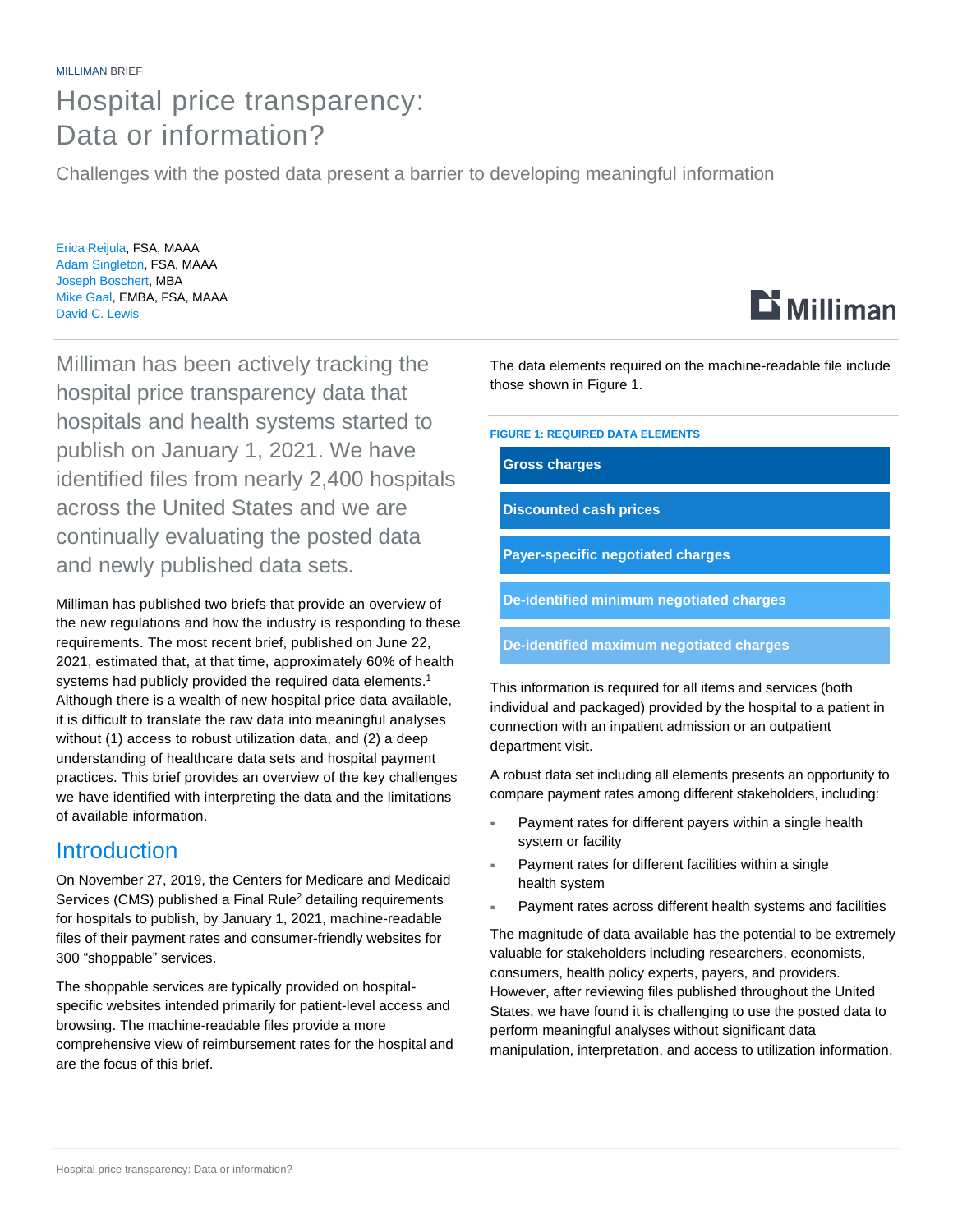# Hospital price transparency: Data or information?

Challenges with the posted data present a barrier to developing meaningful information

Erica Reijula, FSA, MAAA Adam Singleton, FSA, MAAA Joseph Boschert, MBA Mike Gaal, EMBA, FSA, MAAA David C. Lewis

Milliman has been actively tracking the hospital price transparency data that hospitals and health systems started to publish on January 1, 2021. We have identified files from nearly 2,400 hospitals across the United States and we are continually evaluating the posted data and newly published data sets.

Milliman has published two briefs that provide an overview of the new regulations and how the industry is responding to these requirements. The most recent brief, published on June 22, 2021, estimated that, at that time, approximately 60% of health systems had publicly provided the required data elements.<sup>1</sup> Although there is a wealth of new hospital price data available, it is difficult to translate the raw data into meaningful analyses without (1) access to robust utilization data, and (2) a deep understanding of healthcare data sets and hospital payment practices. This brief provides an overview of the key challenges we have identified with interpreting the data and the limitations of available information.

## **Introduction**

On November 27, 2019, the Centers for Medicare and Medicaid Services (CMS) published a Final Rule<sup>2</sup> detailing requirements for hospitals to publish, by January 1, 2021, machine-readable files of their payment rates and consumer-friendly websites for 300 "shoppable" services.

The shoppable services are typically provided on hospitalspecific websites intended primarily for patient-level access and browsing. The machine-readable files provide a more comprehensive view of reimbursement rates for the hospital and are the focus of this brief.

The data elements required on the machine-readable file include those shown in Figure 1.

**FIGURE 1: REQUIRED DATA ELEMENTS**

**Gross charges**

**Discounted cash prices**

**Payer-specific negotiated charges**

**De-identified minimum negotiated charges**

**De-identified maximum negotiated charges**

This information is required for all items and services (both individual and packaged) provided by the hospital to a patient in connection with an inpatient admission or an outpatient department visit.

A robust data set including all elements presents an opportunity to compare payment rates among different stakeholders, including:

- Payment rates for different payers within a single health system or facility
- Payment rates for different facilities within a single health system
- Payment rates across different health systems and facilities

The magnitude of data available has the potential to be extremely valuable for stakeholders including researchers, economists, consumers, health policy experts, payers, and providers. However, after reviewing files published throughout the United States, we have found it is challenging to use the posted data to perform meaningful analyses without significant data manipulation, interpretation, and access to utilization information.

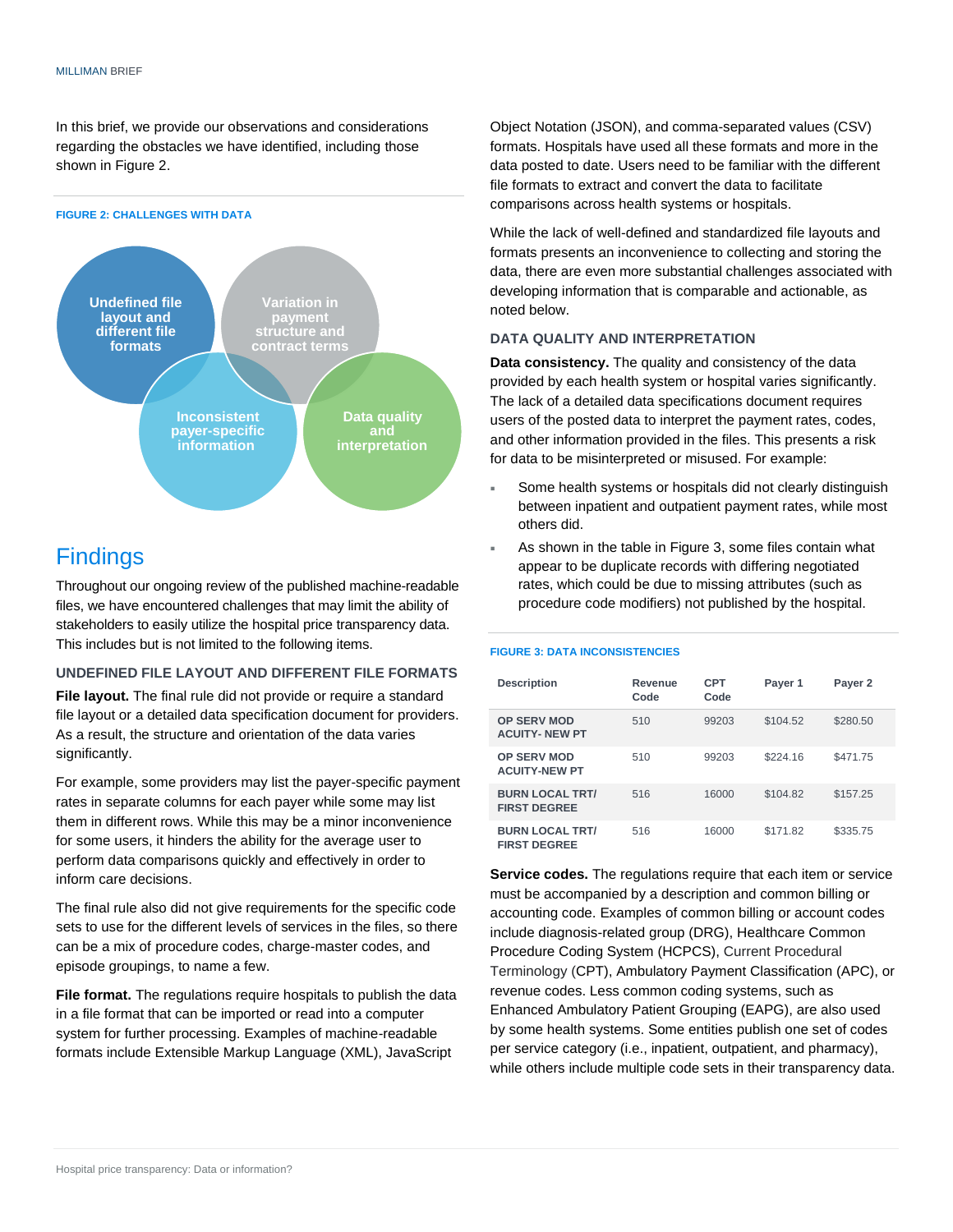In this brief, we provide our observations and considerations regarding the obstacles we have identified, including those shown in Figure 2.



# Findings

Throughout our ongoing review of the published machine-readable files, we have encountered challenges that may limit the ability of stakeholders to easily utilize the hospital price transparency data. This includes but is not limited to the following items.

#### **UNDEFINED FILE LAYOUT AND DIFFERENT FILE FORMATS**

**File layout.** The final rule did not provide or require a standard file layout or a detailed data specification document for providers. As a result, the structure and orientation of the data varies significantly.

For example, some providers may list the payer-specific payment rates in separate columns for each payer while some may list them in different rows. While this may be a minor inconvenience for some users, it hinders the ability for the average user to perform data comparisons quickly and effectively in order to inform care decisions.

The final rule also did not give requirements for the specific code sets to use for the different levels of services in the files, so there can be a mix of procedure codes, charge-master codes, and episode groupings, to name a few.

**File format.** The regulations require hospitals to publish the data in a file format that can be imported or read into a computer system for further processing. Examples of machine-readable formats include Extensible Markup Language (XML), JavaScript

Object Notation (JSON), and comma-separated values (CSV) formats. Hospitals have used all these formats and more in the data posted to date. Users need to be familiar with the different file formats to extract and convert the data to facilitate comparisons across health systems or hospitals.

While the lack of well-defined and standardized file layouts and formats presents an inconvenience to collecting and storing the data, there are even more substantial challenges associated with developing information that is comparable and actionable, as noted below.

#### **DATA QUALITY AND INTERPRETATION**

**Data consistency.** The quality and consistency of the data provided by each health system or hospital varies significantly. The lack of a detailed data specifications document requires users of the posted data to interpret the payment rates, codes, and other information provided in the files. This presents a risk for data to be misinterpreted or misused. For example:

- Some health systems or hospitals did not clearly distinguish between inpatient and outpatient payment rates, while most others did.
- As shown in the table in Figure 3, some files contain what appear to be duplicate records with differing negotiated rates, which could be due to missing attributes (such as procedure code modifiers) not published by the hospital.

#### **FIGURE 3: DATA INCONSISTENCIES**

| <b>Description</b>                            | Revenue<br>Code | CPT<br>Code | Payer 1  | Payer 2  |
|-----------------------------------------------|-----------------|-------------|----------|----------|
| <b>OP SERV MOD</b><br><b>ACUITY-NEW PT</b>    | 510             | 99203       | \$104.52 | \$280.50 |
| <b>OP SERV MOD</b><br><b>ACUITY-NEW PT</b>    | 510             | 99203       | \$224.16 | \$471.75 |
| <b>BURN LOCAL TRT/</b><br><b>FIRST DEGREE</b> | 516             | 16000       | \$104.82 | \$157.25 |
| <b>BURN LOCAL TRT/</b><br><b>FIRST DEGREE</b> | 516             | 16000       | \$171.82 | \$335.75 |

**Service codes.** The regulations require that each item or service must be accompanied by a description and common billing or accounting code. Examples of common billing or account codes include diagnosis-related group (DRG), Healthcare Common Procedure Coding System (HCPCS), Current Procedural Terminology (CPT), Ambulatory Payment Classification (APC), or revenue codes. Less common coding systems, such as Enhanced Ambulatory Patient Grouping (EAPG), are also used by some health systems. Some entities publish one set of codes per service category (i.e., inpatient, outpatient, and pharmacy), while others include multiple code sets in their transparency data.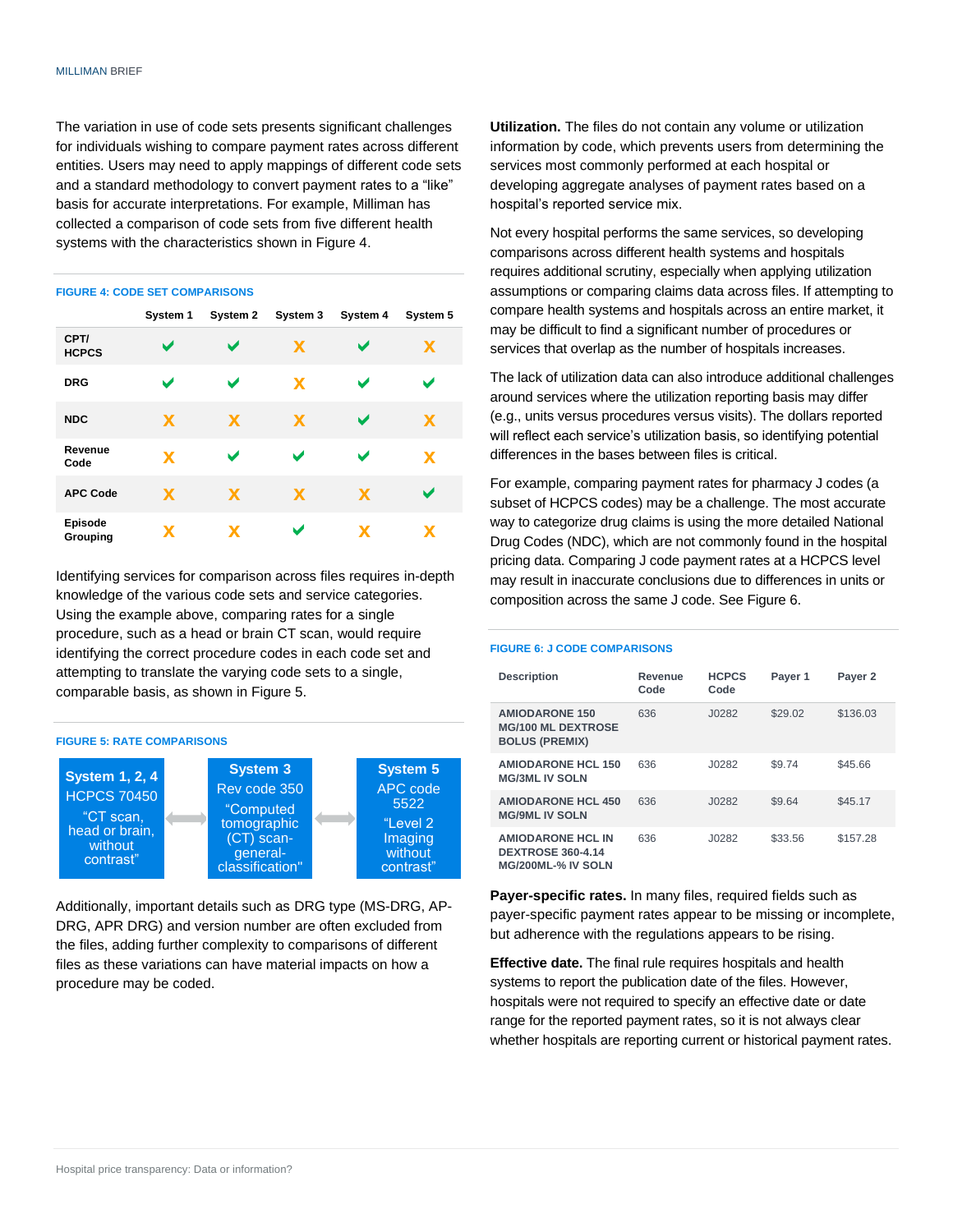The variation in use of code sets presents significant challenges for individuals wishing to compare payment rates across different entities. Users may need to apply mappings of different code sets and a standard methodology to convert payment rates to a "like" basis for accurate interpretations. For example, Milliman has collected a comparison of code sets from five different health systems with the characteristics shown in Figure 4.

#### **FIGURE 4: CODE SET COMPARISONS**

|                      | System 1    | System 2 | System 3 | System 4 | System 5 |
|----------------------|-------------|----------|----------|----------|----------|
| CPT/<br><b>HCPCS</b> | ✔           | ✔        | X        | ✔        | X        |
| <b>DRG</b>           | ້           |          | X        | ✔        |          |
| <b>NDC</b>           | X           | X        | X        | ✔        | X        |
| Revenue<br>Code      | $\mathbf x$ |          | ✔        | ້        | X        |
| <b>APC Code</b>      | <b>X</b>    | X        | X        | X        |          |
| Episode<br>Grouping  | x           | X        | v        | x        | x        |

Identifying services for comparison across files requires in-depth knowledge of the various code sets and service categories. Using the example above, comparing rates for a single procedure, such as a head or brain CT scan, would require identifying the correct procedure codes in each code set and attempting to translate the varying code sets to a single, comparable basis, as shown in Figure 5.



Additionally, important details such as DRG type (MS-DRG, AP-DRG, APR DRG) and version number are often excluded from the files, adding further complexity to comparisons of different files as these variations can have material impacts on how a procedure may be coded.

**Utilization.** The files do not contain any volume or utilization information by code, which prevents users from determining the services most commonly performed at each hospital or developing aggregate analyses of payment rates based on a hospital's reported service mix.

Not every hospital performs the same services, so developing comparisons across different health systems and hospitals requires additional scrutiny, especially when applying utilization assumptions or comparing claims data across files. If attempting to compare health systems and hospitals across an entire market, it may be difficult to find a significant number of procedures or services that overlap as the number of hospitals increases.

The lack of utilization data can also introduce additional challenges around services where the utilization reporting basis may differ (e.g., units versus procedures versus visits). The dollars reported will reflect each service's utilization basis, so identifying potential differences in the bases between files is critical.

For example, comparing payment rates for pharmacy J codes (a subset of HCPCS codes) may be a challenge. The most accurate way to categorize drug claims is using the more detailed National Drug Codes (NDC), which are not commonly found in the hospital pricing data. Comparing J code payment rates at a HCPCS level may result in inaccurate conclusions due to differences in units or composition across the same J code. See Figure 6.

#### **FIGURE 6: J CODE COMPARISONS**

| <b>Description</b>                                                          | Revenue<br>Code | <b>HCPCS</b><br>Code | Payer 1 | Payer 2  |
|-----------------------------------------------------------------------------|-----------------|----------------------|---------|----------|
| <b>AMIODARONE 150</b><br><b>MG/100 ML DEXTROSE</b><br><b>BOLUS (PREMIX)</b> | 636             | J0282                | \$29.02 | \$136.03 |
| <b>AMIODARONE HCL 150</b><br><b>MG/3ML IV SOLN</b>                          | 636             | J0282                | \$9.74  | \$45.66  |
| <b>AMIODARONE HCL 450</b><br><b>MG/9ML IV SOLN</b>                          | 636             | J0282                | \$9.64  | \$45.17  |
| <b>AMIODARONE HCL IN</b><br><b>DEXTROSE 360-4.14</b><br>MG/200ML-% IV SOLN  | 636             | J0282                | \$33.56 | \$157.28 |

**Payer-specific rates.** In many files, required fields such as payer-specific payment rates appear to be missing or incomplete, but adherence with the regulations appears to be rising.

**Effective date.** The final rule requires hospitals and health systems to report the publication date of the files. However, hospitals were not required to specify an effective date or date range for the reported payment rates, so it is not always clear whether hospitals are reporting current or historical payment rates.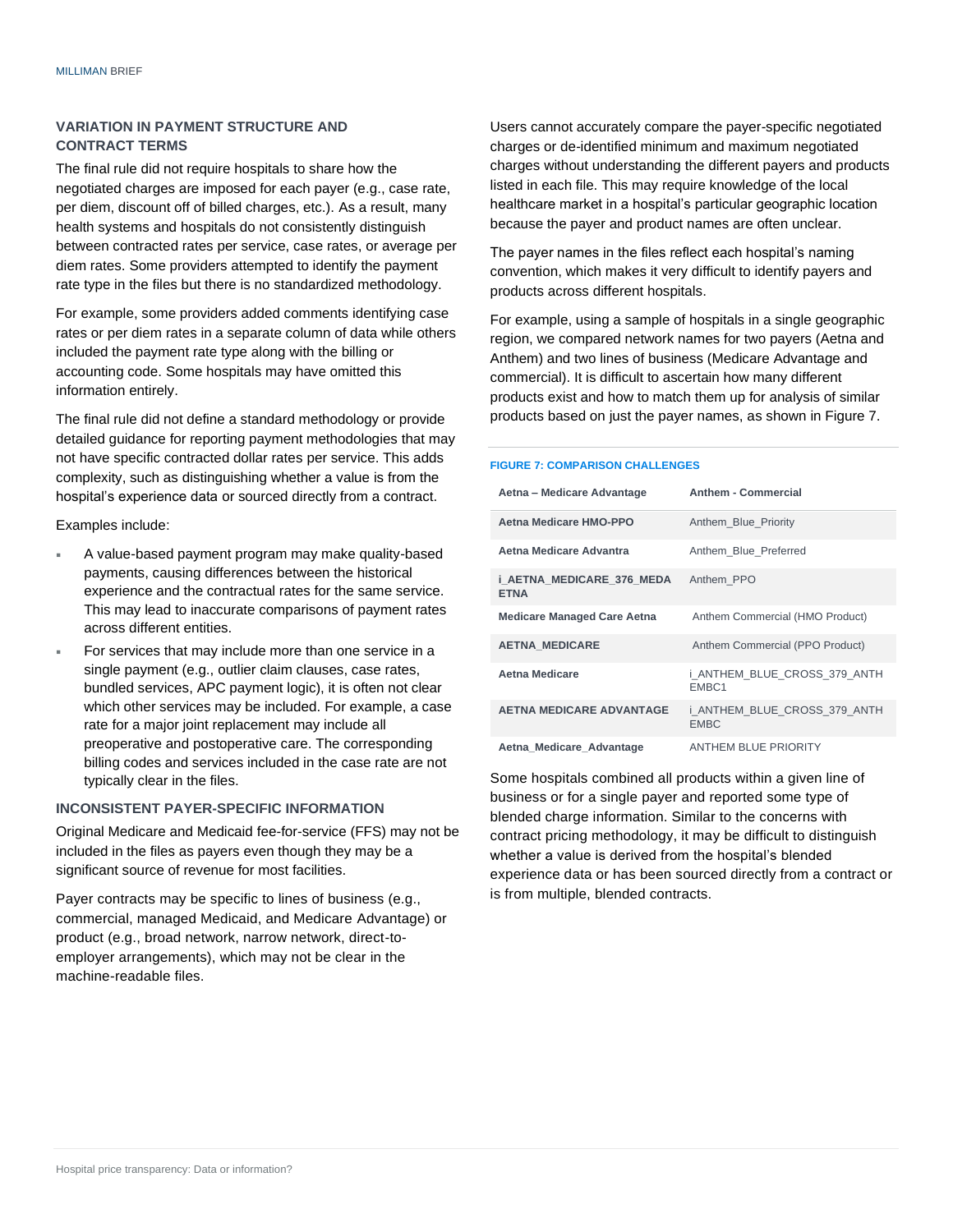#### **VARIATION IN PAYMENT STRUCTURE AND CONTRACT TERMS**

The final rule did not require hospitals to share how the negotiated charges are imposed for each payer (e.g., case rate, per diem, discount off of billed charges, etc.). As a result, many health systems and hospitals do not consistently distinguish between contracted rates per service, case rates, or average per diem rates. Some providers attempted to identify the payment rate type in the files but there is no standardized methodology.

For example, some providers added comments identifying case rates or per diem rates in a separate column of data while others included the payment rate type along with the billing or accounting code. Some hospitals may have omitted this information entirely.

The final rule did not define a standard methodology or provide detailed guidance for reporting payment methodologies that may not have specific contracted dollar rates per service. This adds complexity, such as distinguishing whether a value is from the hospital's experience data or sourced directly from a contract.

Examples include:

- A value-based payment program may make quality-based payments, causing differences between the historical experience and the contractual rates for the same service. This may lead to inaccurate comparisons of payment rates across different entities.
- For services that may include more than one service in a single payment (e.g., outlier claim clauses, case rates, bundled services, APC payment logic), it is often not clear which other services may be included. For example, a case rate for a major joint replacement may include all preoperative and postoperative care. The corresponding billing codes and services included in the case rate are not typically clear in the files.

#### **INCONSISTENT PAYER-SPECIFIC INFORMATION**

Original Medicare and Medicaid fee-for-service (FFS) may not be included in the files as payers even though they may be a significant source of revenue for most facilities.

Payer contracts may be specific to lines of business (e.g., commercial, managed Medicaid, and Medicare Advantage) or product (e.g., broad network, narrow network, direct-toemployer arrangements), which may not be clear in the machine-readable files.

Users cannot accurately compare the payer-specific negotiated charges or de-identified minimum and maximum negotiated charges without understanding the different payers and products listed in each file. This may require knowledge of the local healthcare market in a hospital's particular geographic location because the payer and product names are often unclear.

The payer names in the files reflect each hospital's naming convention, which makes it very difficult to identify payers and products across different hospitals.

For example, using a sample of hospitals in a single geographic region, we compared network names for two payers (Aetna and Anthem) and two lines of business (Medicare Advantage and commercial). It is difficult to ascertain how many different products exist and how to match them up for analysis of similar products based on just the payer names, as shown in Figure 7.

#### **FIGURE 7: COMPARISON CHALLENGES**

| Aetna – Medicare Advantage               | <b>Anthem - Commercial</b>                  |
|------------------------------------------|---------------------------------------------|
| Aetna Medicare HMO-PPO                   | Anthem Blue Priority                        |
| Aetna Medicare Advantra                  | Anthem Blue Preferred                       |
| i AETNA MEDICARE 376 MEDA<br><b>ETNA</b> | Anthem PPO                                  |
| <b>Medicare Managed Care Aetna</b>       | Anthem Commercial (HMO Product)             |
| <b>AETNA MEDICARE</b>                    | Anthem Commercial (PPO Product)             |
| Aetna Medicare                           | i ANTHEM BLUE CROSS 379 ANTH<br>EMBC1       |
| <b>AETNA MEDICARE ADVANTAGE</b>          | i ANTHEM BLUE CROSS 379 ANTH<br><b>EMBC</b> |
| Aetna Medicare Advantage                 | <b>ANTHEM BLUE PRIORITY</b>                 |

Some hospitals combined all products within a given line of business or for a single payer and reported some type of blended charge information. Similar to the concerns with contract pricing methodology, it may be difficult to distinguish whether a value is derived from the hospital's blended experience data or has been sourced directly from a contract or is from multiple, blended contracts.